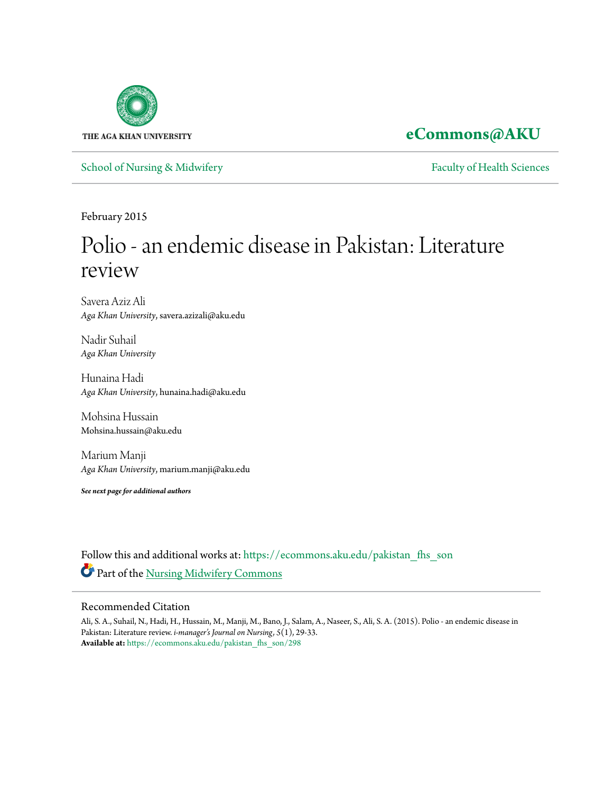

# **[eCommons@AKU](https://ecommons.aku.edu?utm_source=ecommons.aku.edu%2Fpakistan_fhs_son%2F298&utm_medium=PDF&utm_campaign=PDFCoverPages)**

[School of Nursing & Midwifery](https://ecommons.aku.edu/pakistan_fhs_son?utm_source=ecommons.aku.edu%2Fpakistan_fhs_son%2F298&utm_medium=PDF&utm_campaign=PDFCoverPages) **[Faculty of Health Sciences](https://ecommons.aku.edu/pakistan_fhs?utm_source=ecommons.aku.edu%2Fpakistan_fhs_son%2F298&utm_medium=PDF&utm_campaign=PDFCoverPages)** Faculty of Health Sciences

February 2015

# Polio - an endemic disease in Pakistan: Literature review

Savera Aziz Ali *Aga Khan University*, savera.azizali@aku.edu

Nadir Suhail *Aga Khan University*

Hunaina Hadi *Aga Khan University*, hunaina.hadi@aku.edu

Mohsina Hussain Mohsina.hussain@aku.edu

Marium Manji *Aga Khan University*, marium.manji@aku.edu

*See next page for additional authors*

Follow this and additional works at: [https://ecommons.aku.edu/pakistan\\_fhs\\_son](https://ecommons.aku.edu/pakistan_fhs_son?utm_source=ecommons.aku.edu%2Fpakistan_fhs_son%2F298&utm_medium=PDF&utm_campaign=PDFCoverPages) Part of the [Nursing Midwifery Commons](http://network.bepress.com/hgg/discipline/722?utm_source=ecommons.aku.edu%2Fpakistan_fhs_son%2F298&utm_medium=PDF&utm_campaign=PDFCoverPages)

## Recommended Citation

Ali, S. A., Suhail, N., Hadi, H., Hussain, M., Manji, M., Bano, J., Salam, A., Naseer, S., Ali, S. A. (2015). Polio - an endemic disease in Pakistan: Literature review. *i-manager's Journal on Nursing, 5*(1), 29-33. **Available at:** [https://ecommons.aku.edu/pakistan\\_fhs\\_son/298](https://ecommons.aku.edu/pakistan_fhs_son/298)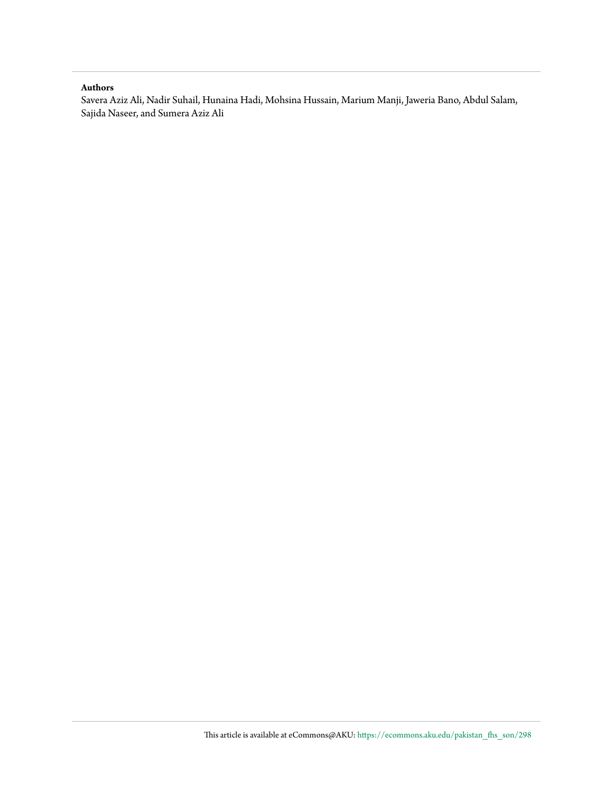#### **Authors**

Savera Aziz Ali, Nadir Suhail, Hunaina Hadi, Mohsina Hussain, Marium Manji, Jaweria Bano, Abdul Salam, Sajida Naseer, and Sumera Aziz Ali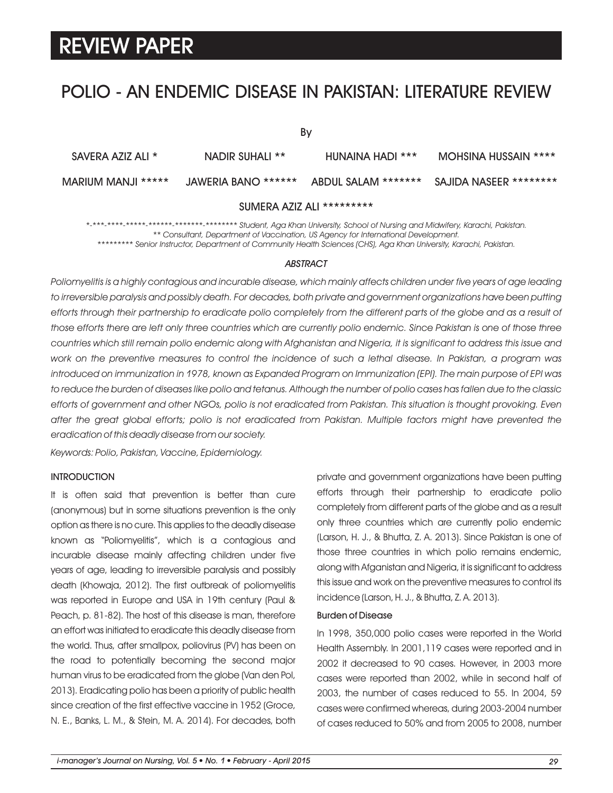# POLIO - AN ENDEMIC DISEASE IN PAKISTAN: LITERATURE REVIEW

| Bv                 |                     |                     |                        |
|--------------------|---------------------|---------------------|------------------------|
| SAVERA AZIZ ALI *  | NADIR SUHALI **     | HUNAINA HADI ***    | MOHSINA HUSSAIN ****   |
| MARIUM MANJI ***** | JAWERIA BANO ****** | ABDUL SALAM ******* | SAJIDA NASEER ******** |

SUMERA AZIZ ALI \*\*\*\*\*\*\*\*\*

*\*-\*\*\*-\*\*\*\*-\*\*\*\*\*-\*\*\*\*\*\*-\*\*\*\*\*\*\*-\*\*\*\*\*\*\*\* Student, Aga Khan University, School of Nursing and Midwifery, Karachi, Pakistan. \*\* Consultant, Department of Vaccination, US Agency for International Development. \*\*\*\*\*\*\*\*\* Senior Instructor, Department of Community Health Sciences (CHS), Aga Khan University, Karachi, Pakistan.*

#### *ABSTRACT*

*Poliomyelitis is a highly contagious and incurable disease, which mainly affects children under five years of age leading to irreversible paralysis and possibly death. For decades, both private and government organizations have been putting efforts through their partnership to eradicate polio completely from the different parts of the globe and as a result of those efforts there are left only three countries which are currently polio endemic. Since Pakistan is one of those three countries which still remain polio endemic along with Afghanistan and Nigeria, it is significant to address this issue and work on the preventive measures to control the incidence of such a lethal disease. In Pakistan, a program was introduced on immunization in 1978, known as Expanded Program on Immunization (EPI). The main purpose of EPI was to reduce the burden of diseases like polio and tetanus. Although the number of polio cases has fallen due to the classic efforts of government and other NGOs, polio is not eradicated from Pakistan. This situation is thought provoking. Even after the great global efforts; polio is not eradicated from Pakistan. Multiple factors might have prevented the eradication of this deadly disease from our society.*

*Keywords: Polio, Pakistan, Vaccine, Epidemiology.*

### **INTRODUCTION**

It is often said that prevention is better than cure (anonymous) but in some situations prevention is the only option as there is no cure. This applies to the deadly disease known as "Poliomyelitis", which is a contagious and incurable disease mainly affecting children under five years of age, leading to irreversible paralysis and possibly death (Khowaja, 2012). The first outbreak of poliomyelitis was reported in Europe and USA in 19th century (Paul & Peach, p. 81-82). The host of this disease is man, therefore an effort was initiated to eradicate this deadly disease from the world. Thus, after smallpox, poliovirus (PV) has been on the road to potentially becoming the second major human virus to be eradicated from the globe (Van den Pol, 2013). Eradicating polio has been a priority of public health since creation of the first effective vaccine in 1952 (Groce, N. E., Banks, L. M., & Stein, M. A. 2014). For decades, both private and government organizations have been putting efforts through their partnership to eradicate polio completely from different parts of the globe and as a result only three countries which are currently polio endemic (Larson, H. J., & Bhutta, Z. A. 2013). Since Pakistan is one of those three countries in which polio remains endemic, along with Afganistan and Nigeria, it is significant to address this issue and work on the preventive measures to control its incidence (Larson, H. J., & Bhutta, Z. A. 2013).

#### Burden of Disease

In 1998, 350,000 polio cases were reported in the World Health Assembly. In 2001,119 cases were reported and in 2002 it decreased to 90 cases. However, in 2003 more cases were reported than 2002, while in second half of 2003, the number of cases reduced to 55. In 2004, 59 cases were confirmed whereas, during 2003-2004 number of cases reduced to 50% and from 2005 to 2008, number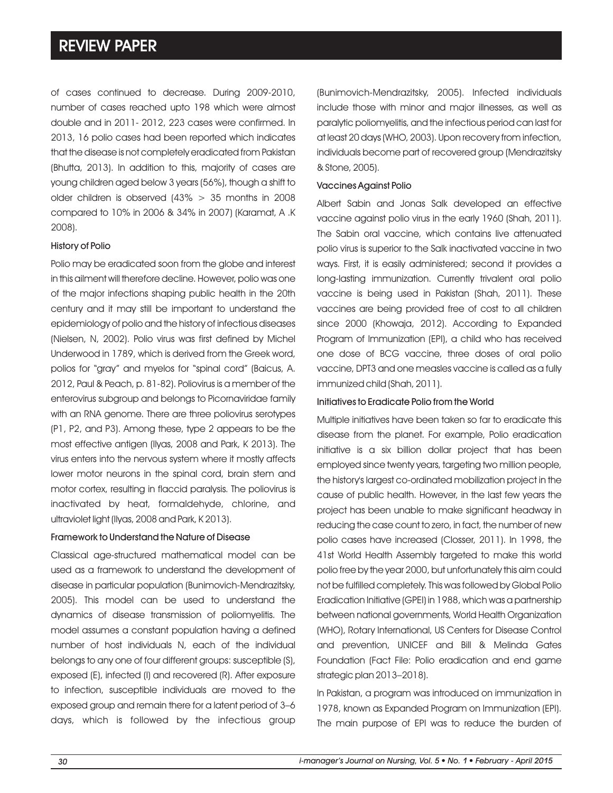of cases continued to decrease. During 2009-2010, number of cases reached upto 198 which were almost double and in 2011- 2012, 223 cases were confirmed. In 2013, 16 polio cases had been reported which indicates that the disease is not completely eradicated from Pakistan (Bhutta, 2013). In addition to this, majority of cases are young children aged below 3 years (56%), though a shift to older children is observed  $(43\% > 35$  months in 2008 compared to 10% in 2006 & 34% in 2007) (Karamat, A .K 2008).

### History of Polio

Polio may be eradicated soon from the globe and interest in this ailment will therefore decline. However, polio was one of the major infections shaping public health in the 20th century and it may still be important to understand the epidemiology of polio and the history of infectious diseases (Nielsen, N, 2002). Polio virus was first defined by Michel Underwood in 1789, which is derived from the Greek word, polios for "gray" and myelos for "spinal cord" (Baicus, A. 2012, Paul & Peach, p. 81-82). Poliovirus is a member of the enterovirus subgroup and belongs to Picornaviridae family with an RNA genome. There are three poliovirus serotypes (P1, P2, and P3). Among these, type 2 appears to be the most effective antigen (Ilyas, 2008 and Park, K 2013). The virus enters into the nervous system where it mostly affects lower motor neurons in the spinal cord, brain stem and motor cortex, resulting in flaccid paralysis. The poliovirus is inactivated by heat, formaldehyde, chlorine, and ultraviolet light (Ilyas, 2008 and Park, K 2013).

#### Framework to Understand the Nature of Disease

Classical age-structured mathematical model can be used as a framework to understand the development of disease in particular population (Bunimovich-Mendrazitsky, 2005). This model can be used to understand the dynamics of disease transmission of poliomyelitis. The model assumes a constant population having a defined number of host individuals N, each of the individual belongs to any one of four different groups: susceptible (S), exposed (E), infected (I) and recovered (R). After exposure to infection, susceptible individuals are moved to the exposed group and remain there for a latent period of 3–6 days, which is followed by the infectious group (Bunimovich-Mendrazitsky, 2005). Infected individuals include those with minor and major illnesses, as well as paralytic poliomyelitis, and the infectious period can last for at least 20 days (WHO, 2003). Upon recovery from infection, individuals become part of recovered group (Mendrazitsky & Stone, 2005).

#### Vaccines Against Polio

Albert Sabin and Jonas Salk developed an effective vaccine against polio virus in the early 1960 (Shah, 2011). The Sabin oral vaccine, which contains live attenuated polio virus is superior to the Salk inactivated vaccine in two ways. First, it is easily administered; second it provides a long-lasting immunization. Currently trivalent oral polio vaccine is being used in Pakistan (Shah, 2011). These vaccines are being provided free of cost to all children since 2000 (Khowaja, 2012). According to Expanded Program of Immunization (EPI), a child who has received one dose of BCG vaccine, three doses of oral polio vaccine, DPT3 and one measles vaccine is called as a fully immunized child (Shah, 2011).

#### Initiatives to Eradicate Polio from the World

Multiple initiatives have been taken so far to eradicate this disease from the planet. For example, Polio eradication initiative is a six billion dollar project that has been employed since twenty years, targeting two million people, the history's largest co-ordinated mobilization project in the cause of public health. However, in the last few years the project has been unable to make significant headway in reducing the case count to zero, in fact, the number of new polio cases have increased (Closser, 2011). In 1998, the 41st World Health Assembly targeted to make this world polio free by the year 2000, but unfortunately this aim could not be fulfilled completely. This was followed by Global Polio Eradication Initiative (GPEI) in 1988, which was a partnership between national governments, World Health Organization (WHO), Rotary International, US Centers for Disease Control and prevention, UNICEF and Bill & Melinda Gates Foundation (Fact File: Polio eradication and end game strategic plan 2013–2018).

In Pakistan, a program was introduced on immunization in 1978, known as Expanded Program on Immunization (EPI). The main purpose of EPI was to reduce the burden of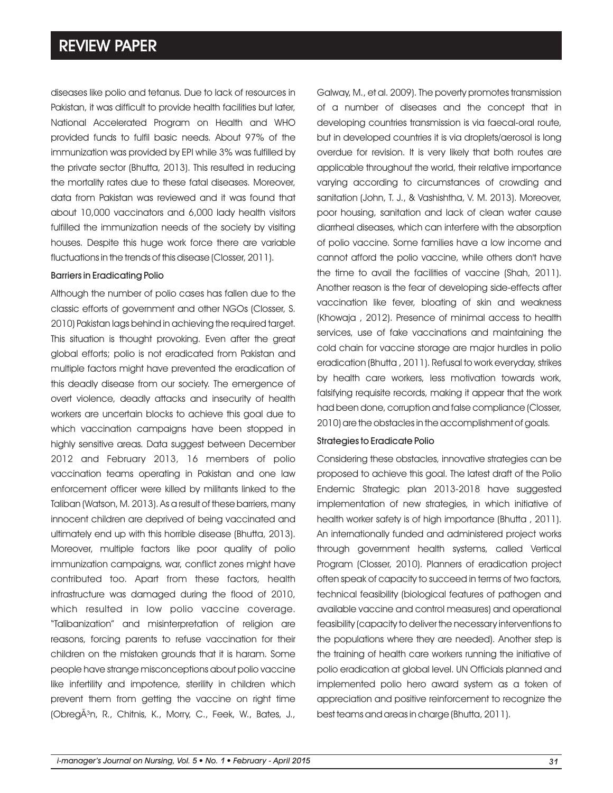diseases like polio and tetanus. Due to lack of resources in Pakistan, it was difficult to provide health facilities but later, National Accelerated Program on Health and WHO provided funds to fulfil basic needs. About 97% of the immunization was provided by EPI while 3% was fulfilled by the private sector (Bhutta, 2013). This resulted in reducing the mortality rates due to these fatal diseases. Moreover, data from Pakistan was reviewed and it was found that about 10,000 vaccinators and 6,000 lady health visitors fulfilled the immunization needs of the society by visiting houses. Despite this huge work force there are variable fluctuations in the trends of this disease (Closser, 2011).

## Barriers in Eradicating Polio

Although the number of polio cases has fallen due to the classic efforts of government and other NGOs (Closser, S. 2010) Pakistan lags behind in achieving the required target. This situation is thought provoking. Even after the great global efforts; polio is not eradicated from Pakistan and multiple factors might have prevented the eradication of this deadly disease from our society. The emergence of overt violence, deadly attacks and insecurity of health workers are uncertain blocks to achieve this goal due to which vaccination campaigns have been stopped in highly sensitive areas. Data suggest between December 2012 and February 2013, 16 members of polio vaccination teams operating in Pakistan and one law enforcement officer were killed by militants linked to the Taliban (Watson, M. 2013). As a result of these barriers, many innocent children are deprived of being vaccinated and ultimately end up with this horrible disease (Bhutta, 2013). Moreover, multiple factors like poor quality of polio immunization campaigns, war, conflict zones might have contributed too. Apart from these factors, health infrastructure was damaged during the flood of 2010, which resulted in low polio vaccine coverage. "Talibanization" and misinterpretation of religion are reasons, forcing parents to refuse vaccination for their children on the mistaken grounds that it is haram. Some people have strange misconceptions about polio vaccine like infertility and impotence, sterility in children which prevent them from getting the vaccine on right time (ObregÄ<sup>3</sup>n, R., Chitnis, K., Morry, C., Feek, W., Bates, J.,

Galway, M., et al. 2009). The poverty promotes transmission of a number of diseases and the concept that in developing countries transmission is via faecal-oral route, but in developed countries it is via droplets/aerosol is long overdue for revision. It is very likely that both routes are applicable throughout the world, their relative importance varying according to circumstances of crowding and sanitation (John, T. J., & Vashishtha, V. M. 2013). Moreover, poor housing, sanitation and lack of clean water cause diarrheal diseases, which can interfere with the absorption of polio vaccine. Some families have a low income and cannot afford the polio vaccine, while others don't have the time to avail the facilities of vaccine (Shah, 2011). Another reason is the fear of developing side-effects after vaccination like fever, bloating of skin and weakness (Khowaja , 2012). Presence of minimal access to health services, use of fake vaccinations and maintaining the cold chain for vaccine storage are major hurdles in polio eradication (Bhutta , 2011). Refusal to work everyday, strikes by health care workers, less motivation towards work, falsifying requisite records, making it appear that the work had been done, corruption and false compliance (Closser, 2010) are the obstacles in the accomplishment of goals.

#### Strategies to Eradicate Polio

Considering these obstacles, innovative strategies can be proposed to achieve this goal. The latest draft of the Polio Endemic Strategic plan 2013-2018 have suggested implementation of new strategies, in which initiative of health worker safety is of high importance (Bhutta , 2011). An internationally funded and administered project works through government health systems, called Vertical Program (Closser, 2010). Planners of eradication project often speak of capacity to succeed in terms of two factors, technical feasibility (biological features of pathogen and available vaccine and control measures) and operational feasibility (capacity to deliver the necessary interventions to the populations where they are needed). Another step is the training of health care workers running the initiative of polio eradication at global level. UN Officials planned and implemented polio hero award system as a token of appreciation and positive reinforcement to recognize the best teams and areas in charge (Bhutta, 2011).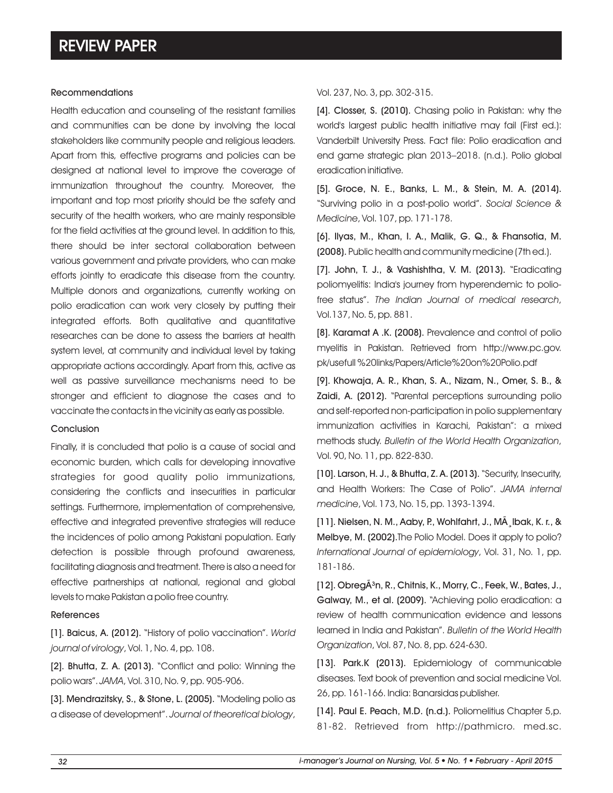#### Recommendations

Health education and counseling of the resistant families and communities can be done by involving the local stakeholders like community people and religious leaders. Apart from this, effective programs and policies can be designed at national level to improve the coverage of immunization throughout the country. Moreover, the important and top most priority should be the safety and security of the health workers, who are mainly responsible for the field activities at the ground level. In addition to this, there should be inter sectoral collaboration between various government and private providers, who can make efforts jointly to eradicate this disease from the country. Multiple donors and organizations, currently working on polio eradication can work very closely by putting their integrated efforts. Both qualitative and quantitative researches can be done to assess the barriers at health system level, at community and individual level by taking appropriate actions accordingly. Apart from this, active as well as passive surveillance mechanisms need to be stronger and efficient to diagnose the cases and to vaccinate the contacts in the vicinity as early as possible.

### Conclusion

Finally, it is concluded that polio is a cause of social and economic burden, which calls for developing innovative strategies for good quality polio immunizations, considering the conflicts and insecurities in particular settings. Furthermore, implementation of comprehensive, effective and integrated preventive strategies will reduce the incidences of polio among Pakistani population. Early detection is possible through profound awareness, facilitating diagnosis and treatment. There is also a need for effective partnerships at national, regional and global levels to make Pakistan a polio free country.

### **References**

[1]. Baicus, A. (2012). "History of polio vaccination". *World journal of virology*, Vol. 1, No. 4, pp. 108.

[2]. Bhutta, Z. A. (2013). "Conflict and polio: Winning the polio wars". *JAMA*, Vol. 310, No. 9, pp. 905-906.

[3]. Mendrazitsky, S., & Stone, L. (2005). "Modeling polio as a disease of development". *Journal of theoretical biology*,

### Vol. 237, No. 3, pp. 302-315.

[4]. Closser, S. (2010). Chasing polio in Pakistan: why the world's largest public health initiative may fail (First ed.): Vanderbilt University Press. Fact file: Polio eradication and end game strategic plan 2013–2018. (n.d.). Polio global eradication initiative.

[5]. Groce, N. E., Banks, L. M., & Stein, M. A. (2014). "Surviving polio in a post-polio world". *Social Science & Medicine*, Vol. 107, pp. 171-178.

[6]. Ilyas, M., Khan, I. A., Malik, G. Q., & Fhansotia, M. (2008). Public health and community medicine (7th ed.).

[7]. John, T. J., & Vashishtha, V. M. (2013). "Eradicating poliomyelitis: India's journey from hyperendemic to poliofree status". *The Indian Journal of medical research*, Vol.137, No. 5, pp. 881.

[8]. Karamat A .K. (2008). Prevalence and control of polio myelitis in Pakistan. Retrieved from http://www.pc.gov. pk/usefull %20links/Papers/Article%20on%20Polio.pdf

[9]. Khowaja, A. R., Khan, S. A., Nizam, N., Omer, S. B., & Zaidi, A. (2012). "Parental perceptions surrounding polio and self-reported non-participation in polio supplementary immunization activities in Karachi, Pakistan": a mixed methods study. *Bulletin of the World Health Organization*, Vol. 90, No. 11, pp. 822-830.

[10]. Larson, H. J., & Bhutta, Z. A. (2013). "Security, Insecurity, and Health Workers: The Case of Polio". *JAMA internal medicine*, Vol. 173, No. 15, pp. 1393-1394.

[11]. Nielsen, N. M., Aaby, P., Wohlfahrt, J., MA, Ibak, K. r., & Melbye, M. (2002).The Polio Model. Does it apply to polio? *International Journal of epidemiology*, Vol. 31, No. 1, pp. 181-186.

[12]. ObregÂ<sup>3</sup>n, R., Chitnis, K., Morry, C., Feek, W., Bates, J., Galway, M., et al. (2009). "Achieving polio eradication: a review of health communication evidence and lessons learned in India and Pakistan". *Bulletin of the World Health Organization*, Vol. 87, No. 8, pp. 624-630.

[13]. Park.K (2013). Epidemiology of communicable diseases. Text book of prevention and social medicine Vol. 26, pp. 161-166. India: Banarsidas publisher.

[14]. Paul E. Peach, M.D. (n.d.). Poliomelitius Chapter 5,p. 81-82. Retrieved from http://pathmicro. med.sc.